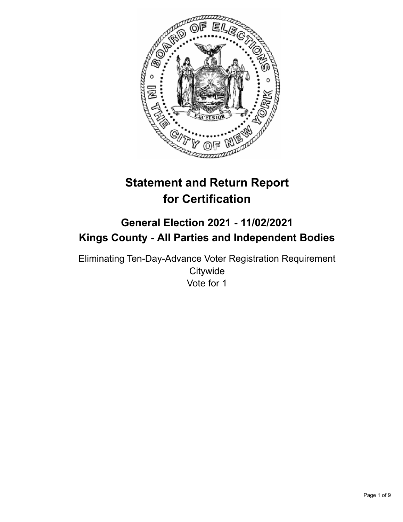

# **Statement and Return Report for Certification**

# **General Election 2021 - 11/02/2021 Kings County - All Parties and Independent Bodies**

Eliminating Ten-Day-Advance Voter Registration Requirement **Citywide** Vote for 1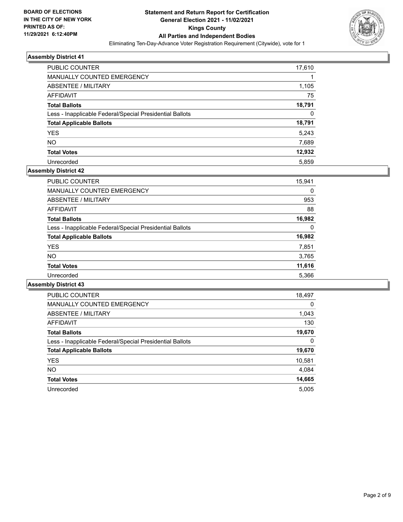

| PUBLIC COUNTER                                           | 17,610 |
|----------------------------------------------------------|--------|
| <b>MANUALLY COUNTED EMERGENCY</b>                        |        |
| ABSENTEE / MILITARY                                      | 1,105  |
| AFFIDAVIT                                                | 75     |
| <b>Total Ballots</b>                                     | 18,791 |
| Less - Inapplicable Federal/Special Presidential Ballots | 0      |
| <b>Total Applicable Ballots</b>                          | 18,791 |
| <b>YES</b>                                               | 5,243  |
| <b>NO</b>                                                | 7,689  |
| <b>Total Votes</b>                                       | 12,932 |
| Unrecorded                                               | 5.859  |

#### **Assembly District 42**

| PUBLIC COUNTER                                           | 15,941 |
|----------------------------------------------------------|--------|
| MANUALLY COUNTED EMERGENCY                               | 0      |
| ABSENTEE / MILITARY                                      | 953    |
| AFFIDAVIT                                                | 88     |
| <b>Total Ballots</b>                                     | 16,982 |
| Less - Inapplicable Federal/Special Presidential Ballots | 0      |
| <b>Total Applicable Ballots</b>                          | 16,982 |
| <b>YES</b>                                               | 7,851  |
| <b>NO</b>                                                | 3,765  |
| <b>Total Votes</b>                                       | 11,616 |
| Unrecorded                                               | 5,366  |

| <b>PUBLIC COUNTER</b>                                    | 18,497   |
|----------------------------------------------------------|----------|
| <b>MANUALLY COUNTED EMERGENCY</b>                        | $\Omega$ |
| ABSENTEE / MILITARY                                      | 1,043    |
| <b>AFFIDAVIT</b>                                         | 130      |
| <b>Total Ballots</b>                                     | 19,670   |
| Less - Inapplicable Federal/Special Presidential Ballots | 0        |
| <b>Total Applicable Ballots</b>                          | 19,670   |
| <b>YES</b>                                               | 10,581   |
| NO.                                                      | 4,084    |
| <b>Total Votes</b>                                       | 14,665   |
| Unrecorded                                               | 5.005    |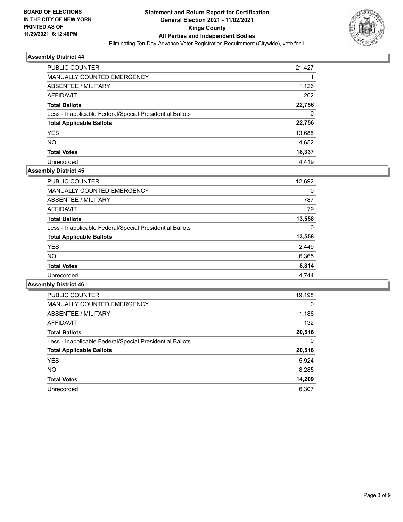

| PUBLIC COUNTER                                           | 21,427 |
|----------------------------------------------------------|--------|
| <b>MANUALLY COUNTED EMERGENCY</b>                        |        |
| ABSENTEE / MILITARY                                      | 1,126  |
| AFFIDAVIT                                                | 202    |
| <b>Total Ballots</b>                                     | 22,756 |
| Less - Inapplicable Federal/Special Presidential Ballots | 0      |
| <b>Total Applicable Ballots</b>                          | 22,756 |
| <b>YES</b>                                               | 13,685 |
| <b>NO</b>                                                | 4,652  |
| <b>Total Votes</b>                                       | 18,337 |
| Unrecorded                                               | 4.419  |

#### **Assembly District 45**

| <b>PUBLIC COUNTER</b>                                    | 12,692 |
|----------------------------------------------------------|--------|
| <b>MANUALLY COUNTED EMERGENCY</b>                        | 0      |
| ABSENTEE / MILITARY                                      | 787    |
| AFFIDAVIT                                                | 79     |
| <b>Total Ballots</b>                                     | 13,558 |
| Less - Inapplicable Federal/Special Presidential Ballots | 0      |
| <b>Total Applicable Ballots</b>                          | 13,558 |
| <b>YES</b>                                               | 2,449  |
| NO.                                                      | 6,365  |
| <b>Total Votes</b>                                       | 8,814  |
| Unrecorded                                               | 4.744  |

| <b>PUBLIC COUNTER</b>                                    | 19,198   |
|----------------------------------------------------------|----------|
| <b>MANUALLY COUNTED EMERGENCY</b>                        | $\Omega$ |
| ABSENTEE / MILITARY                                      | 1,186    |
| <b>AFFIDAVIT</b>                                         | 132      |
| <b>Total Ballots</b>                                     | 20,516   |
| Less - Inapplicable Federal/Special Presidential Ballots | $\Omega$ |
| <b>Total Applicable Ballots</b>                          | 20,516   |
| <b>YES</b>                                               | 5,924    |
| <b>NO</b>                                                | 8,285    |
| <b>Total Votes</b>                                       | 14,209   |
| Unrecorded                                               | 6.307    |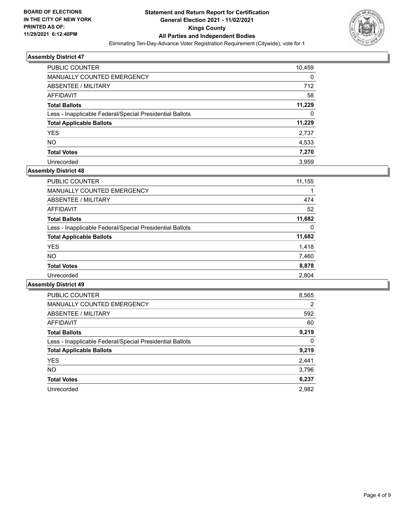

| <b>PUBLIC COUNTER</b>                                    | 10,459 |
|----------------------------------------------------------|--------|
| MANUALLY COUNTED EMERGENCY                               | 0      |
| ABSENTEE / MILITARY                                      | 712    |
| AFFIDAVIT                                                | 58     |
| <b>Total Ballots</b>                                     | 11,229 |
| Less - Inapplicable Federal/Special Presidential Ballots | 0      |
| <b>Total Applicable Ballots</b>                          | 11,229 |
| <b>YES</b>                                               | 2,737  |
| <b>NO</b>                                                | 4,533  |
| <b>Total Votes</b>                                       | 7,270  |
| Unrecorded                                               | 3.959  |

#### **Assembly District 48**

| <b>PUBLIC COUNTER</b>                                    | 11,155 |
|----------------------------------------------------------|--------|
| <b>MANUALLY COUNTED EMERGENCY</b>                        |        |
| ABSENTEE / MILITARY                                      | 474    |
| <b>AFFIDAVIT</b>                                         | 52     |
| <b>Total Ballots</b>                                     | 11,682 |
| Less - Inapplicable Federal/Special Presidential Ballots | 0      |
| <b>Total Applicable Ballots</b>                          | 11,682 |
| <b>YES</b>                                               | 1,418  |
| NO.                                                      | 7,460  |
| <b>Total Votes</b>                                       | 8,878  |
| Unrecorded                                               | 2,804  |

| <b>PUBLIC COUNTER</b>                                    | 8,565          |
|----------------------------------------------------------|----------------|
| <b>MANUALLY COUNTED EMERGENCY</b>                        | $\overline{2}$ |
| ABSENTEE / MILITARY                                      | 592            |
| <b>AFFIDAVIT</b>                                         | 60             |
| <b>Total Ballots</b>                                     | 9,219          |
| Less - Inapplicable Federal/Special Presidential Ballots | $\Omega$       |
| <b>Total Applicable Ballots</b>                          | 9,219          |
| <b>YES</b>                                               | 2,441          |
| NO.                                                      | 3,796          |
| <b>Total Votes</b>                                       | 6,237          |
| Unrecorded                                               | 2.982          |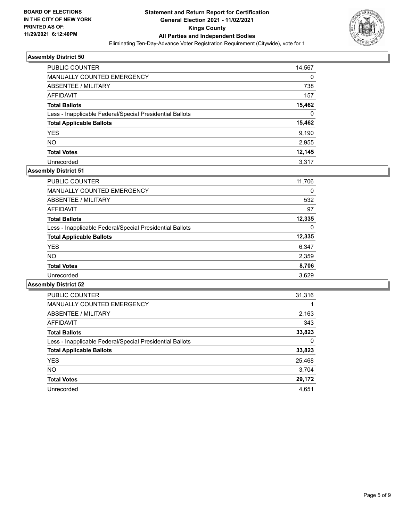

| PUBLIC COUNTER                                           | 14,567 |
|----------------------------------------------------------|--------|
| MANUALLY COUNTED EMERGENCY                               | 0      |
| ABSENTEE / MILITARY                                      | 738    |
| AFFIDAVIT                                                | 157    |
| <b>Total Ballots</b>                                     | 15,462 |
| Less - Inapplicable Federal/Special Presidential Ballots | 0      |
| <b>Total Applicable Ballots</b>                          | 15,462 |
| <b>YES</b>                                               | 9,190  |
| <b>NO</b>                                                | 2,955  |
| <b>Total Votes</b>                                       | 12,145 |
| Unrecorded                                               | 3.317  |

# **Assembly District 51**

| <b>PUBLIC COUNTER</b>                                    | 11,706 |
|----------------------------------------------------------|--------|
| <b>MANUALLY COUNTED EMERGENCY</b>                        | 0      |
|                                                          |        |
| ABSENTEE / MILITARY                                      | 532    |
| AFFIDAVIT                                                | 97     |
| <b>Total Ballots</b>                                     | 12,335 |
| Less - Inapplicable Federal/Special Presidential Ballots | 0      |
| <b>Total Applicable Ballots</b>                          | 12,335 |
| <b>YES</b>                                               | 6,347  |
| <b>NO</b>                                                | 2,359  |
| <b>Total Votes</b>                                       | 8,706  |
| Unrecorded                                               | 3,629  |

| <b>PUBLIC COUNTER</b>                                    | 31,316 |
|----------------------------------------------------------|--------|
| <b>MANUALLY COUNTED EMERGENCY</b>                        |        |
| ABSENTEE / MILITARY                                      | 2,163  |
| <b>AFFIDAVIT</b>                                         | 343    |
| <b>Total Ballots</b>                                     | 33,823 |
| Less - Inapplicable Federal/Special Presidential Ballots | 0      |
| <b>Total Applicable Ballots</b>                          | 33,823 |
| <b>YES</b>                                               | 25,468 |
| NO.                                                      | 3,704  |
| <b>Total Votes</b>                                       | 29,172 |
| Unrecorded                                               | 4.651  |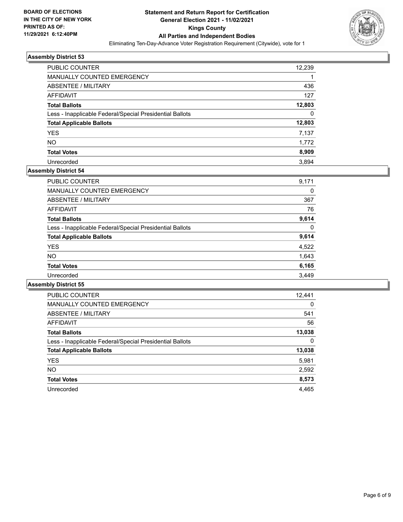

| PUBLIC COUNTER                                           | 12,239 |
|----------------------------------------------------------|--------|
| MANUALLY COUNTED EMERGENCY                               |        |
| ABSENTEE / MILITARY                                      | 436    |
| AFFIDAVIT                                                | 127    |
| <b>Total Ballots</b>                                     | 12,803 |
| Less - Inapplicable Federal/Special Presidential Ballots | 0      |
| <b>Total Applicable Ballots</b>                          | 12,803 |
| <b>YES</b>                                               | 7,137  |
| <b>NO</b>                                                | 1,772  |
| <b>Total Votes</b>                                       | 8,909  |
| Unrecorded                                               | 3.894  |

# **Assembly District 54**

| <b>PUBLIC COUNTER</b>                                    | 9,171 |
|----------------------------------------------------------|-------|
| <b>MANUALLY COUNTED EMERGENCY</b>                        | 0     |
| ABSENTEE / MILITARY                                      | 367   |
| AFFIDAVIT                                                | 76    |
| <b>Total Ballots</b>                                     | 9,614 |
| Less - Inapplicable Federal/Special Presidential Ballots | 0     |
| <b>Total Applicable Ballots</b>                          | 9,614 |
| <b>YES</b>                                               | 4,522 |
| <b>NO</b>                                                | 1,643 |
| <b>Total Votes</b>                                       | 6,165 |
| Unrecorded                                               | 3,449 |

| <b>PUBLIC COUNTER</b>                                    | 12,441   |
|----------------------------------------------------------|----------|
| <b>MANUALLY COUNTED EMERGENCY</b>                        | $\Omega$ |
| ABSENTEE / MILITARY                                      | 541      |
| <b>AFFIDAVIT</b>                                         | 56       |
| <b>Total Ballots</b>                                     | 13,038   |
| Less - Inapplicable Federal/Special Presidential Ballots | 0        |
| <b>Total Applicable Ballots</b>                          | 13,038   |
| <b>YES</b>                                               | 5,981    |
| NO.                                                      | 2,592    |
| <b>Total Votes</b>                                       | 8,573    |
| Unrecorded                                               | 4.465    |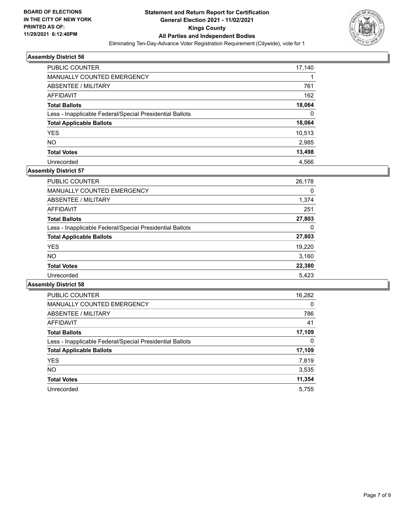

| <b>PUBLIC COUNTER</b>                                    | 17,140 |
|----------------------------------------------------------|--------|
| <b>MANUALLY COUNTED EMERGENCY</b>                        |        |
| ABSENTEE / MILITARY                                      | 761    |
| AFFIDAVIT                                                | 162    |
| <b>Total Ballots</b>                                     | 18,064 |
| Less - Inapplicable Federal/Special Presidential Ballots | 0      |
| <b>Total Applicable Ballots</b>                          | 18,064 |
| <b>YES</b>                                               | 10,513 |
| <b>NO</b>                                                | 2,985  |
| <b>Total Votes</b>                                       | 13,498 |
| Unrecorded                                               | 4.566  |

# **Assembly District 57**

| <b>PUBLIC COUNTER</b>                                    | 26,178 |
|----------------------------------------------------------|--------|
| <b>MANUALLY COUNTED EMERGENCY</b>                        | 0      |
| ABSENTEE / MILITARY                                      | 1,374  |
| AFFIDAVIT                                                | 251    |
| <b>Total Ballots</b>                                     | 27,803 |
| Less - Inapplicable Federal/Special Presidential Ballots | 0      |
| <b>Total Applicable Ballots</b>                          | 27,803 |
| <b>YES</b>                                               | 19,220 |
| <b>NO</b>                                                | 3,160  |
| <b>Total Votes</b>                                       | 22,380 |
| Unrecorded                                               | 5.423  |

| <b>PUBLIC COUNTER</b>                                    | 16,282   |
|----------------------------------------------------------|----------|
| <b>MANUALLY COUNTED EMERGENCY</b>                        | $\Omega$ |
| ABSENTEE / MILITARY                                      | 786      |
| <b>AFFIDAVIT</b>                                         | 41       |
| <b>Total Ballots</b>                                     | 17,109   |
| Less - Inapplicable Federal/Special Presidential Ballots | 0        |
| <b>Total Applicable Ballots</b>                          | 17,109   |
| <b>YES</b>                                               | 7,819    |
| NO.                                                      | 3,535    |
| <b>Total Votes</b>                                       | 11,354   |
| Unrecorded                                               | 5.755    |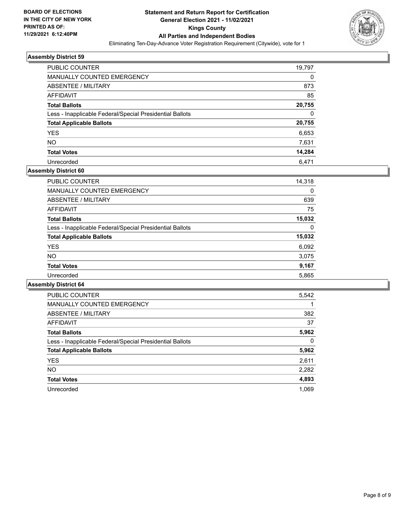

| <b>PUBLIC COUNTER</b>                                    | 19,797   |
|----------------------------------------------------------|----------|
| MANUALLY COUNTED EMERGENCY                               | 0        |
| ABSENTEE / MILITARY                                      | 873      |
| AFFIDAVIT                                                | 85       |
| <b>Total Ballots</b>                                     | 20,755   |
| Less - Inapplicable Federal/Special Presidential Ballots | $\Omega$ |
| <b>Total Applicable Ballots</b>                          | 20,755   |
| <b>YES</b>                                               | 6,653    |
| <b>NO</b>                                                | 7,631    |
| <b>Total Votes</b>                                       | 14,284   |
| Unrecorded                                               | 6.471    |

#### **Assembly District 60**

| <b>PUBLIC COUNTER</b>                                    | 14,318 |
|----------------------------------------------------------|--------|
| <b>MANUALLY COUNTED EMERGENCY</b>                        | 0      |
| ABSENTEE / MILITARY                                      | 639    |
| AFFIDAVIT                                                | 75     |
| <b>Total Ballots</b>                                     | 15,032 |
| Less - Inapplicable Federal/Special Presidential Ballots | 0      |
| <b>Total Applicable Ballots</b>                          | 15,032 |
| <b>YES</b>                                               | 6,092  |
| NO.                                                      | 3,075  |
| <b>Total Votes</b>                                       | 9,167  |
| Unrecorded                                               | 5.865  |
|                                                          |        |

| <b>PUBLIC COUNTER</b>                                    | 5,542 |
|----------------------------------------------------------|-------|
| MANUALLY COUNTED EMERGENCY                               |       |
| ABSENTEE / MILITARY                                      | 382   |
| <b>AFFIDAVIT</b>                                         | 37    |
| <b>Total Ballots</b>                                     | 5,962 |
| Less - Inapplicable Federal/Special Presidential Ballots | 0     |
| <b>Total Applicable Ballots</b>                          | 5,962 |
| <b>YES</b>                                               | 2,611 |
| NO.                                                      | 2,282 |
| <b>Total Votes</b>                                       | 4,893 |
| Unrecorded                                               | 1.069 |